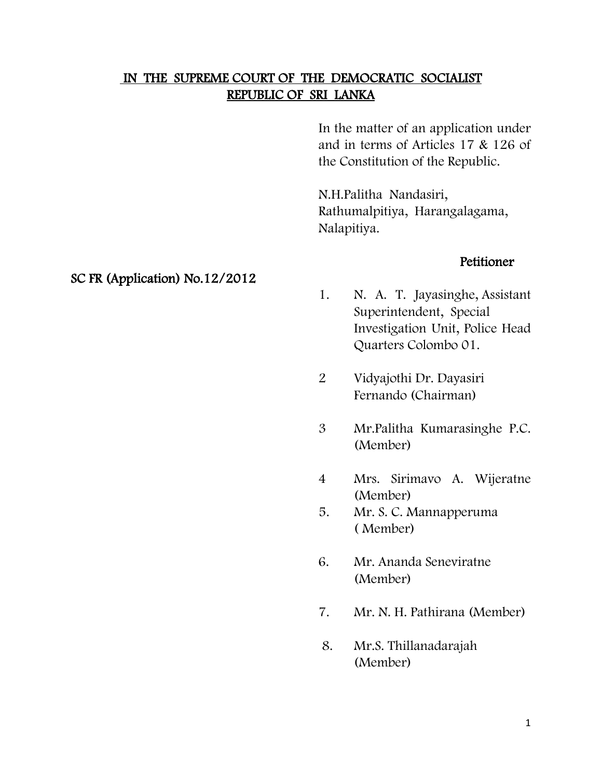# IN THE SUPREME COURT OF THE DEMOCRATIC SOCIALIST REPUBLIC OF SRI LANKA

In the matter of an application under and in terms of Articles 17 & 126 of the Constitution of the Republic.

N.H.Palitha Nandasiri, Rathumalpitiya, Harangalagama, Nalapitiya.

### Petitioner

- 1. N. A. T. Jayasinghe, Assistant Superintendent, Special Investigation Unit, Police Head Quarters Colombo 01.
- 2 Vidyajothi Dr. Dayasiri Fernando (Chairman)
- 3 Mr.Palitha Kumarasinghe P.C. (Member)
- 4 Mrs. Sirimavo A. Wijeratne (Member)
- 5. Mr. S. C. Mannapperuma ( Member)
- 6. Mr. Ananda Seneviratne (Member)
- 7. Mr. N. H. Pathirana (Member)
- 8. Mr.S. Thillanadarajah (Member)

### SC FR (Application) No.12/2012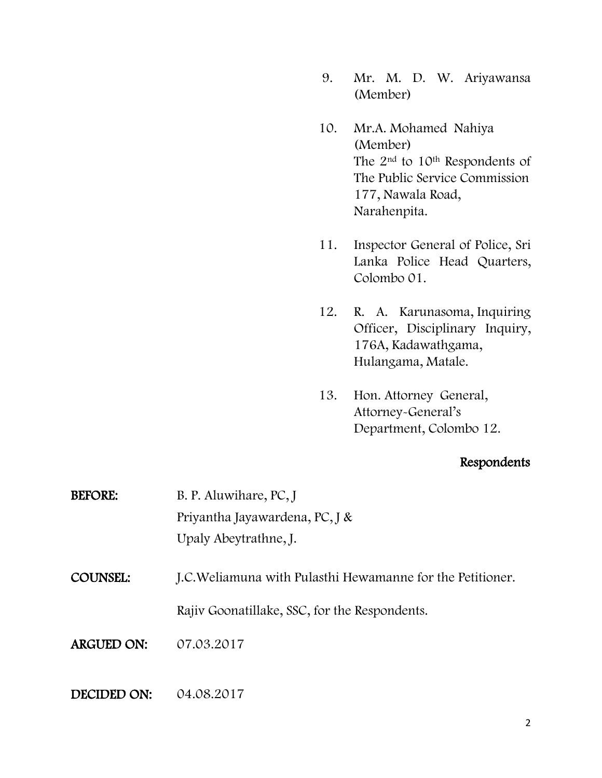- 9. Mr. M. D. W. Ariyawansa (Member)
- 10. Mr.A. Mohamed Nahiya (Member) The 2<sup>nd</sup> to 10<sup>th</sup> Respondents of The Public Service Commission 177, Nawala Road, Narahenpita.
- 11. Inspector General of Police, Sri Lanka Police Head Quarters, Colombo 01.
- 12. R. A. Karunasoma, Inquiring Officer, Disciplinary Inquiry, 176A, Kadawathgama, Hulangama, Matale.
- 13. Hon. Attorney General, Attorney-General's Department, Colombo 12.

## Respondents

BEFORE: B. P. Aluwihare, PC, J Priyantha Jayawardena, PC, J & Upaly Abeytrathne, J.

COUNSEL: J.C.Weliamuna with Pulasthi Hewamanne for the Petitioner.

Rajiv Goonatillake, SSC, for the Respondents.

ARGUED ON: 07.03.2017

#### DECIDED ON: 04.08.2017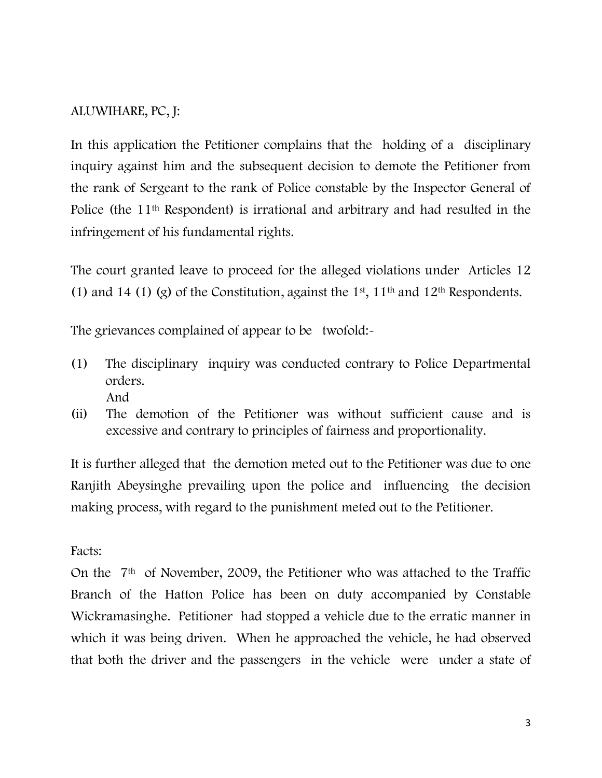# ALUWIHARE, PC, J:

In this application the Petitioner complains that the holding of a disciplinary inquiry against him and the subsequent decision to demote the Petitioner from the rank of Sergeant to the rank of Police constable by the Inspector General of Police (the 11th Respondent) is irrational and arbitrary and had resulted in the infringement of his fundamental rights.

The court granted leave to proceed for the alleged violations under Articles 12 (1) and 14 (1) (g) of the Constitution, against the 1<sup>st</sup>, 11<sup>th</sup> and 12<sup>th</sup> Respondents.

The grievances complained of appear to be twofold:-

- (1) The disciplinary inquiry was conducted contrary to Police Departmental orders. And
- (ii) The demotion of the Petitioner was without sufficient cause and is excessive and contrary to principles of fairness and proportionality.

It is further alleged that the demotion meted out to the Petitioner was due to one Ranjith Abeysinghe prevailing upon the police and influencing the decision making process, with regard to the punishment meted out to the Petitioner.

## Facts:

On the 7th of November, 2009, the Petitioner who was attached to the Traffic Branch of the Hatton Police has been on duty accompanied by Constable Wickramasinghe. Petitioner had stopped a vehicle due to the erratic manner in which it was being driven. When he approached the vehicle, he had observed that both the driver and the passengers in the vehicle were under a state of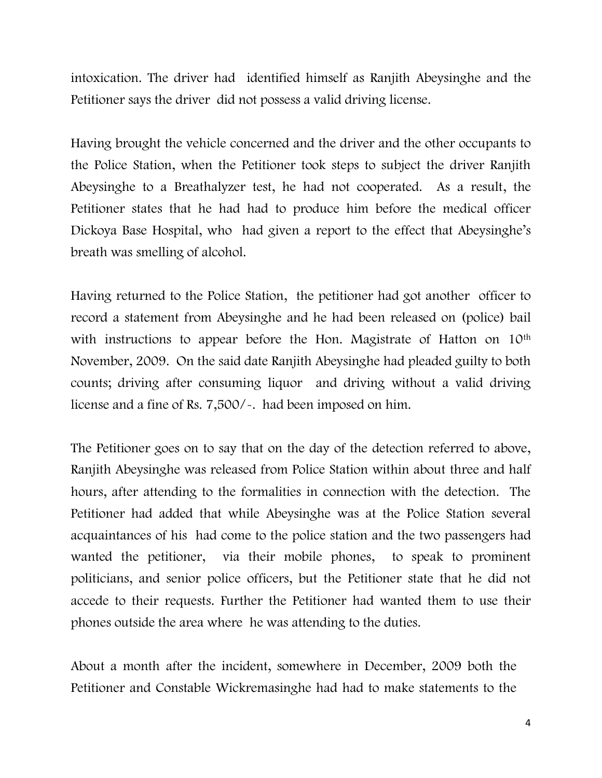intoxication. The driver had identified himself as Ranjith Abeysinghe and the Petitioner says the driver did not possess a valid driving license.

Having brought the vehicle concerned and the driver and the other occupants to the Police Station, when the Petitioner took steps to subject the driver Ranjith Abeysinghe to a Breathalyzer test, he had not cooperated. As a result, the Petitioner states that he had had to produce him before the medical officer Dickoya Base Hospital, who had given a report to the effect that Abeysinghe's breath was smelling of alcohol.

Having returned to the Police Station, the petitioner had got another officer to record a statement from Abeysinghe and he had been released on (police) bail with instructions to appear before the Hon. Magistrate of Hatton on 10<sup>th</sup> November, 2009. On the said date Ranjith Abeysinghe had pleaded guilty to both counts; driving after consuming liquor and driving without a valid driving license and a fine of Rs. 7,500/-. had been imposed on him.

The Petitioner goes on to say that on the day of the detection referred to above, Ranjith Abeysinghe was released from Police Station within about three and half hours, after attending to the formalities in connection with the detection. The Petitioner had added that while Abeysinghe was at the Police Station several acquaintances of his had come to the police station and the two passengers had wanted the petitioner, via their mobile phones, to speak to prominent politicians, and senior police officers, but the Petitioner state that he did not accede to their requests. Further the Petitioner had wanted them to use their phones outside the area where he was attending to the duties.

About a month after the incident, somewhere in December, 2009 both the Petitioner and Constable Wickremasinghe had had to make statements to the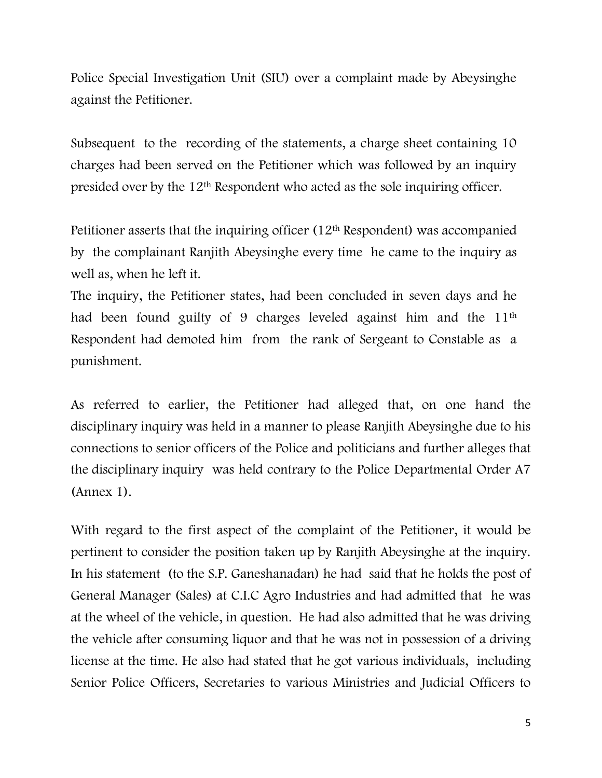Police Special Investigation Unit (SIU) over a complaint made by Abeysinghe against the Petitioner.

Subsequent to the recording of the statements, a charge sheet containing 10 charges had been served on the Petitioner which was followed by an inquiry presided over by the 12th Respondent who acted as the sole inquiring officer.

Petitioner asserts that the inquiring officer  $(12<sup>th</sup>$  Respondent) was accompanied by the complainant Ranjith Abeysinghe every time he came to the inquiry as well as, when he left it.

The inquiry, the Petitioner states, had been concluded in seven days and he had been found guilty of 9 charges leveled against him and the 11th Respondent had demoted him from the rank of Sergeant to Constable as a punishment.

As referred to earlier, the Petitioner had alleged that, on one hand the disciplinary inquiry was held in a manner to please Ranjith Abeysinghe due to his connections to senior officers of the Police and politicians and further alleges that the disciplinary inquiry was held contrary to the Police Departmental Order A7 (Annex 1).

With regard to the first aspect of the complaint of the Petitioner, it would be pertinent to consider the position taken up by Ranjith Abeysinghe at the inquiry. In his statement (to the S.P. Ganeshanadan) he had said that he holds the post of General Manager (Sales) at C.I.C Agro Industries and had admitted that he was at the wheel of the vehicle, in question. He had also admitted that he was driving the vehicle after consuming liquor and that he was not in possession of a driving license at the time. He also had stated that he got various individuals, including Senior Police Officers, Secretaries to various Ministries and Judicial Officers to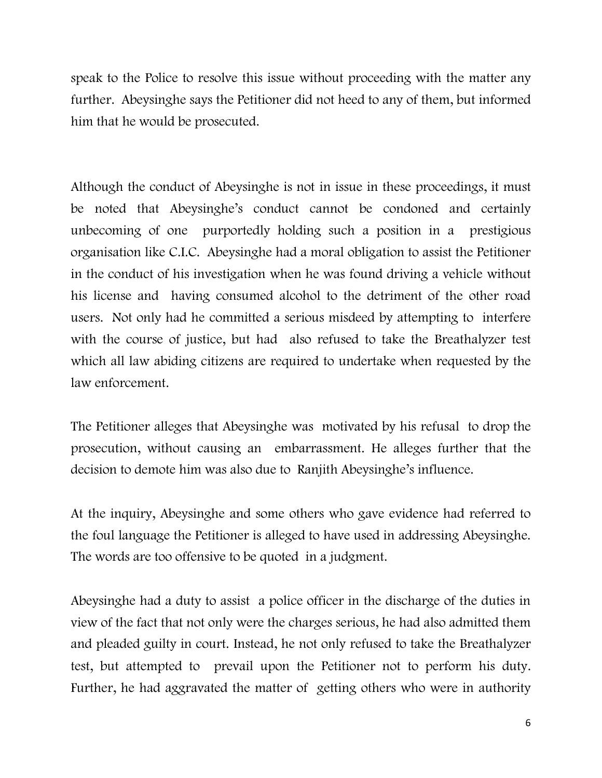speak to the Police to resolve this issue without proceeding with the matter any further. Abeysinghe says the Petitioner did not heed to any of them, but informed him that he would be prosecuted.

Although the conduct of Abeysinghe is not in issue in these proceedings, it must be noted that Abeysinghe's conduct cannot be condoned and certainly unbecoming of one purportedly holding such a position in a prestigious organisation like C.I.C. Abeysinghe had a moral obligation to assist the Petitioner in the conduct of his investigation when he was found driving a vehicle without his license and having consumed alcohol to the detriment of the other road users. Not only had he committed a serious misdeed by attempting to interfere with the course of justice, but had also refused to take the Breathalyzer test which all law abiding citizens are required to undertake when requested by the law enforcement.

The Petitioner alleges that Abeysinghe was motivated by his refusal to drop the prosecution, without causing an embarrassment. He alleges further that the decision to demote him was also due to Ranjith Abeysinghe's influence.

At the inquiry, Abeysinghe and some others who gave evidence had referred to the foul language the Petitioner is alleged to have used in addressing Abeysinghe. The words are too offensive to be quoted in a judgment.

Abeysinghe had a duty to assist a police officer in the discharge of the duties in view of the fact that not only were the charges serious, he had also admitted them and pleaded guilty in court. Instead, he not only refused to take the Breathalyzer test, but attempted to prevail upon the Petitioner not to perform his duty. Further, he had aggravated the matter of getting others who were in authority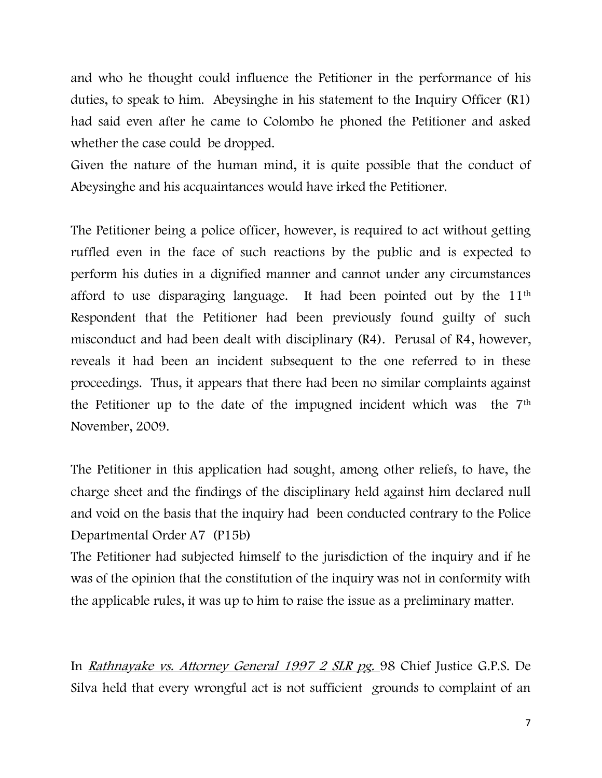and who he thought could influence the Petitioner in the performance of his duties, to speak to him. Abeysinghe in his statement to the Inquiry Officer (R1) had said even after he came to Colombo he phoned the Petitioner and asked whether the case could be dropped.

Given the nature of the human mind, it is quite possible that the conduct of Abeysinghe and his acquaintances would have irked the Petitioner.

The Petitioner being a police officer, however, is required to act without getting ruffled even in the face of such reactions by the public and is expected to perform his duties in a dignified manner and cannot under any circumstances afford to use disparaging language. It had been pointed out by the 11th Respondent that the Petitioner had been previously found guilty of such misconduct and had been dealt with disciplinary (R4). Perusal of R4, however, reveals it had been an incident subsequent to the one referred to in these proceedings. Thus, it appears that there had been no similar complaints against the Petitioner up to the date of the impugned incident which was the 7th November, 2009.

The Petitioner in this application had sought, among other reliefs, to have, the charge sheet and the findings of the disciplinary held against him declared null and void on the basis that the inquiry had been conducted contrary to the Police Departmental Order A7 (P15b)

The Petitioner had subjected himself to the jurisdiction of the inquiry and if he was of the opinion that the constitution of the inquiry was not in conformity with the applicable rules, it was up to him to raise the issue as a preliminary matter.

In Rathnayake vs. Attorney General 1997 2 SLR pg. 98 Chief Justice G.P.S. De Silva held that every wrongful act is not sufficient grounds to complaint of an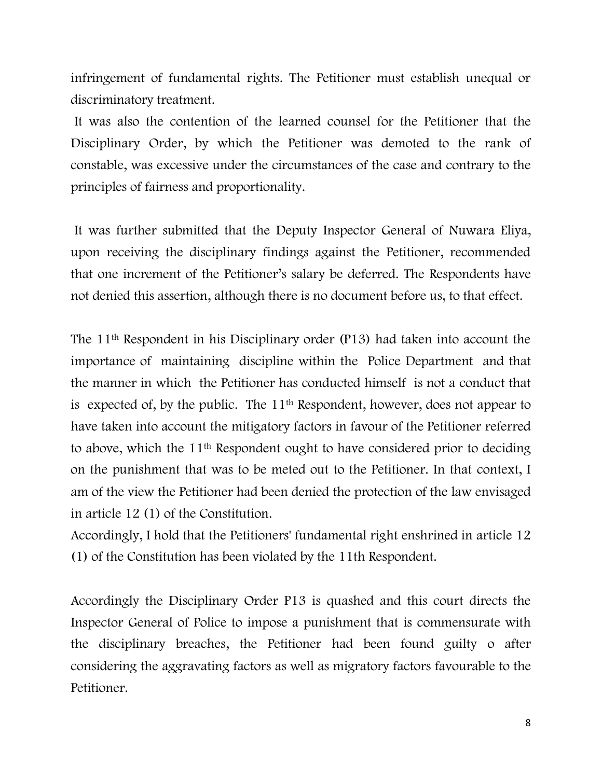infringement of fundamental rights. The Petitioner must establish unequal or discriminatory treatment.

It was also the contention of the learned counsel for the Petitioner that the Disciplinary Order, by which the Petitioner was demoted to the rank of constable, was excessive under the circumstances of the case and contrary to the principles of fairness and proportionality.

It was further submitted that the Deputy Inspector General of Nuwara Eliya, upon receiving the disciplinary findings against the Petitioner, recommended that one increment of the Petitioner's salary be deferred. The Respondents have not denied this assertion, although there is no document before us, to that effect.

The 11th Respondent in his Disciplinary order (P13) had taken into account the importance of maintaining discipline within the Police Department and that the manner in which the Petitioner has conducted himself is not a conduct that is expected of, by the public. The 11<sup>th</sup> Respondent, however, does not appear to have taken into account the mitigatory factors in favour of the Petitioner referred to above, which the 11th Respondent ought to have considered prior to deciding on the punishment that was to be meted out to the Petitioner. In that context, I am of the view the Petitioner had been denied the protection of the law envisaged in article 12 (1) of the Constitution.

Accordingly, I hold that the Petitioners' fundamental right enshrined in article 12 (1) of the Constitution has been violated by the 11th Respondent.

Accordingly the Disciplinary Order P13 is quashed and this court directs the Inspector General of Police to impose a punishment that is commensurate with the disciplinary breaches, the Petitioner had been found guilty o after considering the aggravating factors as well as migratory factors favourable to the Petitioner.